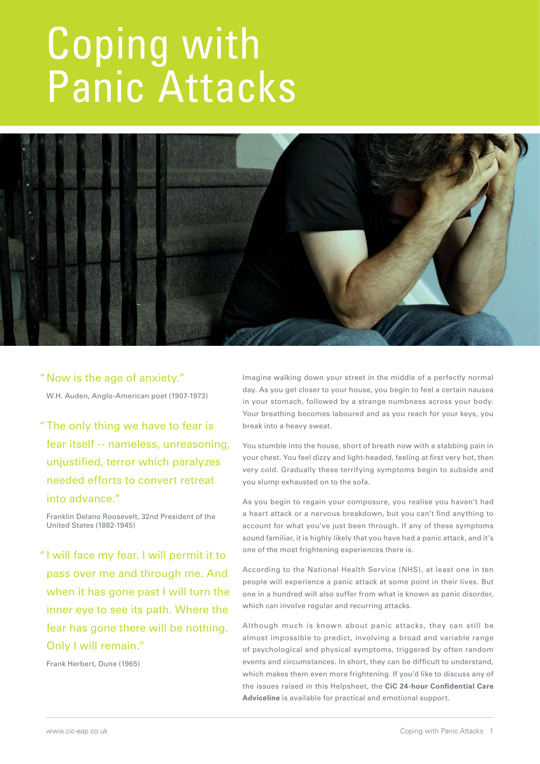# Coping with Panic Attacks



" Now is the age of anxiety." W.H. Auden, Anglo-American poet (1907-1973)

" The only thing we have to fear is fear itself -- nameless, unreasoning, unjustified, terror which paralyzes needed efforts to convert retreat into advance."

 Franklin Delano Roosevelt, 32nd President of the United States (1882-1945)

" I will face my fear. I will permit it to pass over me and through me. And when it has gone past I will turn the inner eye to see its path. Where the fear has gone there will be nothing. Only I will remain."

Frank Herbert, Dune (1965)

Imagine walking down your street in the middle of a perfectly normal day. As you get closer to your house, you begin to feel a certain nausea in your stomach, followed by a strange numbness across your body. Your breathing becomes laboured and as you reach for your keys, you break into a heavy sweat.

You stumble into the house, short of breath now with a stabbing pain in your chest. You feel dizzy and light-headed, feeling at first very hot, then very cold. Gradually these terrifying symptoms begin to subside and you slump exhausted on to the sofa.

As you begin to regain your composure, you realise you haven't had a heart attack or a nervous breakdown, but you can't find anything to account for what you've just been through. If any of these symptoms sound familiar, it is highly likely that you have had a panic attack, and it's one of the most frightening experiences there is.

According to the National Health Service (NHS), at least one in ten people will experience a panic attack at some point in their lives. But one in a hundred will also suffer from what is known as panic disorder, which can involve regular and recurring attacks.

Although much is known about panic attacks, they can still be almost impossible to predict, involving a broad and variable range of psychological and physical symptoms, triggered by often random events and circumstances. In short, they can be difficult to understand, which makes them even more frightening. If you'd like to discuss any of the issues raised in this Helpsheet, the **CiC 24-hour Confidential Care Adviceline** is available for practical and emotional support.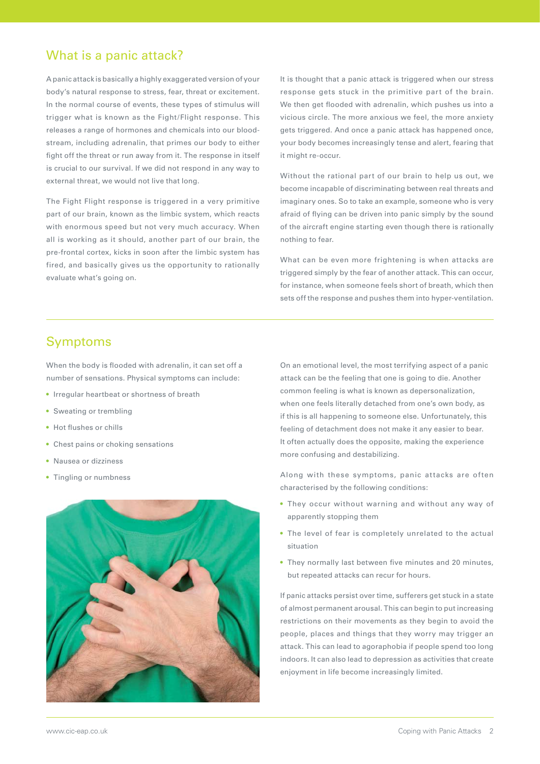#### What is a panic attack?

A panic attack is basically a highly exaggerated version of your body's natural response to stress, fear, threat or excitement. In the normal course of events, these types of stimulus will trigger what is known as the Fight/Flight response. This releases a range of hormones and chemicals into our bloodstream, including adrenalin, that primes our body to either fight off the threat or run away from it. The response in itself is crucial to our survival. If we did not respond in any way to external threat, we would not live that long.

The Fight Flight response is triggered in a very primitive part of our brain, known as the limbic system, which reacts with enormous speed but not very much accuracy. When all is working as it should, another part of our brain, the pre-frontal cortex, kicks in soon after the limbic system has fired, and basically gives us the opportunity to rationally evaluate what's going on.

It is thought that a panic attack is triggered when our stress response gets stuck in the primitive part of the brain. We then get flooded with adrenalin, which pushes us into a vicious circle. The more anxious we feel, the more anxiety gets triggered. And once a panic attack has happened once, your body becomes increasingly tense and alert, fearing that it might re-occur.

Without the rational part of our brain to help us out, we become incapable of discriminating between real threats and imaginary ones. So to take an example, someone who is very afraid of flying can be driven into panic simply by the sound of the aircraft engine starting even though there is rationally nothing to fear.

What can be even more frightening is when attacks are triggered simply by the fear of another attack. This can occur, for instance, when someone feels short of breath, which then sets off the response and pushes them into hyper-ventilation.

### Symptoms

When the body is flooded with adrenalin, it can set off a number of sensations. Physical symptoms can include:

- Irregular heartbeat or shortness of breath
- Sweating or trembling
- Hot flushes or chills
- Chest pains or choking sensations
- Nausea or dizziness
- Tingling or numbness



On an emotional level, the most terrifying aspect of a panic attack can be the feeling that one is going to die. Another common feeling is what is known as depersonalization, when one feels literally detached from one's own body, as if this is all happening to someone else. Unfortunately, this feeling of detachment does not make it any easier to bear. It often actually does the opposite, making the experience more confusing and destabilizing.

Along with these symptoms, panic attacks are often characterised by the following conditions:

- They occur without warning and without any way of apparently stopping them
- The level of fear is completely unrelated to the actual situation
- They normally last between five minutes and 20 minutes, but repeated attacks can recur for hours.

If panic attacks persist over time, sufferers get stuck in a state of almost permanent arousal. This can begin to put increasing restrictions on their movements as they begin to avoid the people, places and things that they worry may trigger an attack. This can lead to agoraphobia if people spend too long indoors. It can also lead to depression as activities that create enjoyment in life become increasingly limited.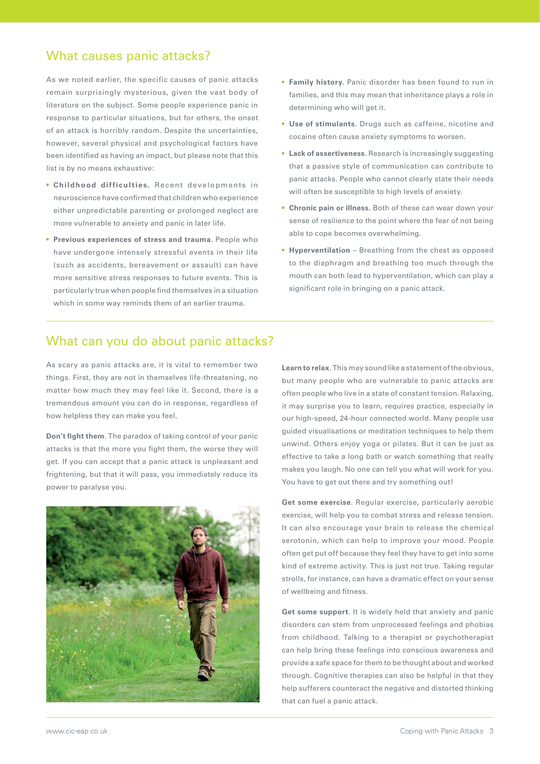#### What causes panic attacks?

As we noted earlier, the specific causes of panic attacks remain surprisingly mysterious, given the vast body of literature on the subject. Some people experience panic in response to particular situations, but for others, the onset of an attack is horribly random. Despite the uncertainties, however, several physical and psychological factors have been identified as having an impact, but please note that this list is by no means exhaustive:

- **Childhood difficulties.** Recent developments in neuroscience have confirmed that children who experience either unpredictable parenting or prolonged neglect are more vulnerable to anxiety and panic in later life.
- **Previous experiences of stress and trauma.** People who have undergone intensely stressful events in their life (such as accidents, bereavement or assault) can have more sensitive stress responses to future events. This is particularly true when people find themselves in a situation which in some way reminds them of an earlier trauma.
- **Family history.** Panic disorder has been found to run in families, and this may mean that inheritance plays a role in determining who will get it.
- **Use of stimulants.** Drugs such as caffeine, nicotine and cocaine often cause anxiety symptoms to worsen.
- **Lack of assertiveness.** Research is increasingly suggesting that a passive style of communication can contribute to panic attacks. People who cannot clearly state their needs will often be susceptible to high levels of anxiety.
- **Chronic pain or illness.** Both of these can wear down your sense of resilience to the point where the fear of not being able to cope becomes overwhelming.
- **Hyperventilation** Breathing from the chest as opposed to the diaphragm and breathing too much through the mouth can both lead to hyperventilation, which can play a significant role in bringing on a panic attack.

#### What can you do about panic attacks?

As scary as panic attacks are, it is vital to remember two things. First, they are not in themselves life-threatening, no matter how much they may feel like it. Second, there is a tremendous amount you can do in response, regardless of how helpless they can make you feel.

**Don't fight them**. The paradox of taking control of your panic attacks is that the more you fight them, the worse they will get. If you can accept that a panic attack is unpleasant and frightening, but that it will pass, you immediately reduce its power to paralyse you.



**Learn to relax**. This may sound like a statement of the obvious, but many people who are vulnerable to panic attacks are often people who live in a state of constant tension. Relaxing, it may surprise you to learn, requires practice, especially in our high-speed, 24-hour connected world. Many people use guided visualisations or meditation techniques to help them unwind. Others enjoy yoga or pilates. But it can be just as effective to take a long bath or watch something that really makes you laugh. No one can tell you what will work for you. You have to get out there and try something out!

**Get some exercise**. Regular exercise, particularly aerobic exercise, will help you to combat stress and release tension. It can also encourage your brain to release the chemical serotonin, which can help to improve your mood. People often get put off because they feel they have to get into some kind of extreme activity. This is just not true. Taking regular strolls, for instance, can have a dramatic effect on your sense of wellbeing and fitness.

**Get some support**. It is widely held that anxiety and panic disorders can stem from unprocessed feelings and phobias from childhood. Talking to a therapist or psychotherapist can help bring these feelings into conscious awareness and provide a safe space for them to be thought about and worked through. Cognitive therapies can also be helpful in that they help sufferers counteract the negative and distorted thinking that can fuel a panic attack.